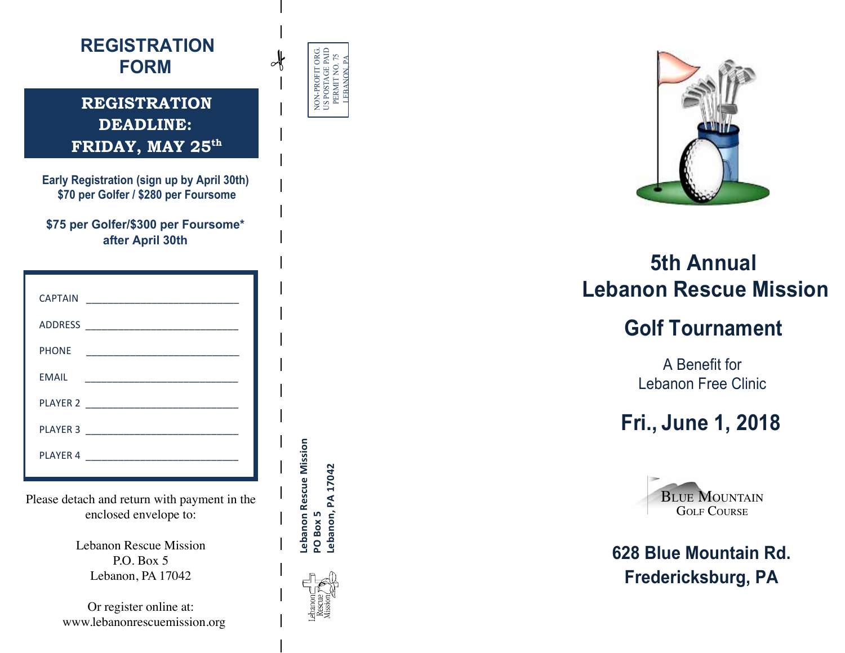

enclosed envelope to:

Lebanon Rescue Mission P.O. Box 5 Lebanon, PA 17042

Or register online at: www.lebanonrescuemission.org

|--|



# **5th Annual 5th Annual Lebanon Rescue Mission Lebanon Rescue Mission**

## **Golf Tournament Golf Tournament**

A Benefit for A Benefit for Lebanon Free Clinic Lebanon Free Clinic

## **Fri., June 1, 2018 Fri., June 1, 2018**



**628 Blue Mountain Rd. 628 Blue Mountain Rd. Fredericksburg, PA Fredericksburg, PA** 

Lebanon Rescue Mission<br>PO Box 5 Lebanon Rescue Mission .ebanon, PA 17042 **Lebanon, 
PA 
17042** PO Box 5